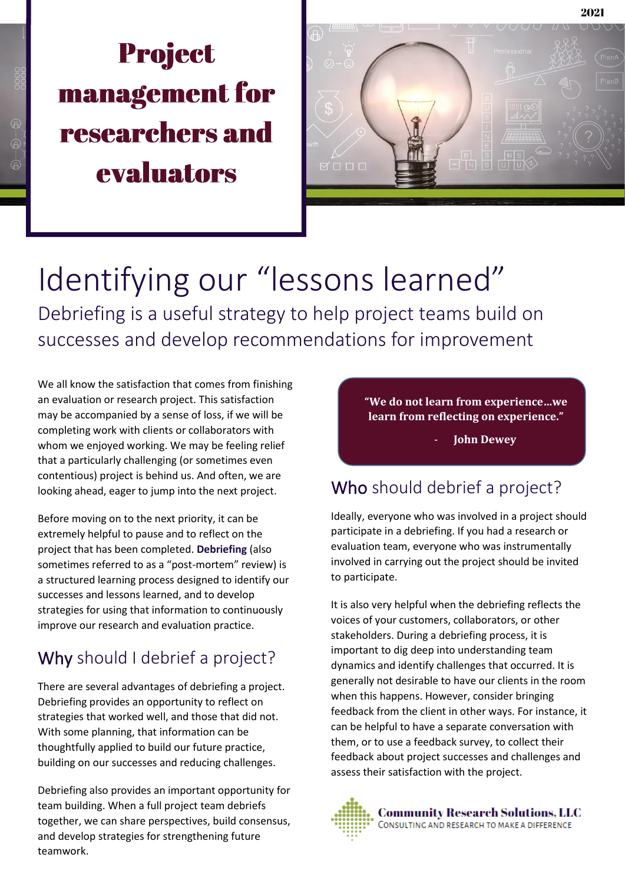# **Project** management for researchers and evaluators



Identifying our "lessons learned" Debriefing is a useful strategy to help project teams build on successes and develop recommendations for improvement

We all know the satisfaction that comes from finishing an evaluation or research project. This satisfaction may be accompanied by a sense of loss, if we will be completing work with clients or collaborators with whom we enjoyed working. We may be feeling relief that a particularly challenging (or sometimes even contentious) project is behind us. And often, we are looking ahead, eager to jump into the next project.

Before moving on to the next priority, it can be extremely helpful to pause and to reflect on the project that has been completed. **Debriefing** (also sometimes referred to as a "post-mortem" review) is a structured learning process designed to identify our successes and lessons learned, and to develop strategies for using that information to continuously improve our research and evaluation practice.

### Why should I debrief a project?

There are several advantages of debriefing a project. Debriefing provides an opportunity to reflect on strategies that worked well, and those that did not. With some planning, that information can be thoughtfully applied to build our future practice, building on our successes and reducing challenges.

Debriefing also provides an important opportunity for team building. When a full project team debriefs together, we can share perspectives, build consensus, and develop strategies for strengthening future teamwork.

**"We do not learn from experience…we learn from reflecting on experience."**

- **John Dewey**

### Who should debrief a project?

Ideally, everyone who was involved in a project should participate in a debriefing. If you had a research or evaluation team, everyone who was instrumentally involved in carrying out the project should be invited to participate.

It is also very helpful when the debriefing reflects the voices of your customers, collaborators, or other stakeholders. During a debriefing process, it is important to dig deep into understanding team dynamics and identify challenges that occurred. It is generally not desirable to have our clients in the room when this happens. However, consider bringing feedback from the client in other ways. For instance, it can be helpful to have a separate conversation with them, or to use a feedback survey, to collect their feedback about project successes and challenges and assess their satisfaction with the project.

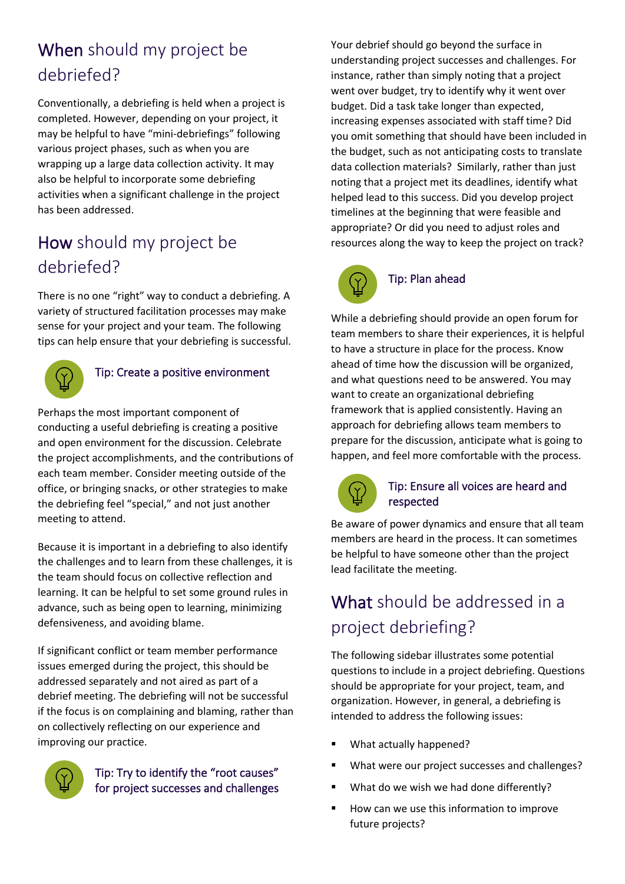### When should my project be debriefed?

Conventionally, a debriefing is held when a project is completed. However, depending on your project, it may be helpful to have "mini-debriefings" following various project phases, such as when you are wrapping up a large data collection activity. It may also be helpful to incorporate some debriefing activities when a significant challenge in the project has been addressed.

### How should my project be debriefed?

There is no one "right" way to conduct a debriefing. A variety of structured facilitation processes may make sense for your project and your team. The following tips can help ensure that your debriefing is successful.



### Tip: Create a positive environment

Perhaps the most important component of conducting a useful debriefing is creating a positive and open environment for the discussion. Celebrate the project accomplishments, and the contributions of each team member. Consider meeting outside of the office, or bringing snacks, or other strategies to make the debriefing feel "special," and not just another meeting to attend.

Because it is important in a debriefing to also identify the challenges and to learn from these challenges, it is the team should focus on collective reflection and learning. It can be helpful to set some ground rules in advance, such as being open to learning, minimizing defensiveness, and avoiding blame.

If significant conflict or team member performance issues emerged during the project, this should be addressed separately and not aired as part of a debrief meeting. The debriefing will not be successful if the focus is on complaining and blaming, rather than on collectively reflecting on our experience and improving our practice.



#### Tip: Try to identify the "root causes" for project successes and challenges

Your debrief should go beyond the surface in understanding project successes and challenges. For instance, rather than simply noting that a project went over budget, try to identify why it went over budget. Did a task take longer than expected, increasing expenses associated with staff time? Did you omit something that should have been included in the budget, such as not anticipating costs to translate data collection materials? Similarly, rather than just noting that a project met its deadlines, identify what helped lead to this success. Did you develop project timelines at the beginning that were feasible and appropriate? Or did you need to adjust roles and resources along the way to keep the project on track?



#### Tip: Plan ahead

While a debriefing should provide an open forum for team members to share their experiences, it is helpful to have a structure in place for the process. Know ahead of time how the discussion will be organized, and what questions need to be answered. You may want to create an organizational debriefing framework that is applied consistently. Having an approach for debriefing allows team members to prepare for the discussion, anticipate what is going to happen, and feel more comfortable with the process.



#### Tip: Ensure all voices are heard and respected

Be aware of power dynamics and ensure that all team members are heard in the process. It can sometimes be helpful to have someone other than the project lead facilitate the meeting.

### What should be addressed in a project debriefing?

The following sidebar illustrates some potential questions to include in a project debriefing. Questions should be appropriate for your project, team, and organization. However, in general, a debriefing is intended to address the following issues:

- What actually happened?
- What were our project successes and challenges?
- What do we wish we had done differently?
- How can we use this information to improve future projects?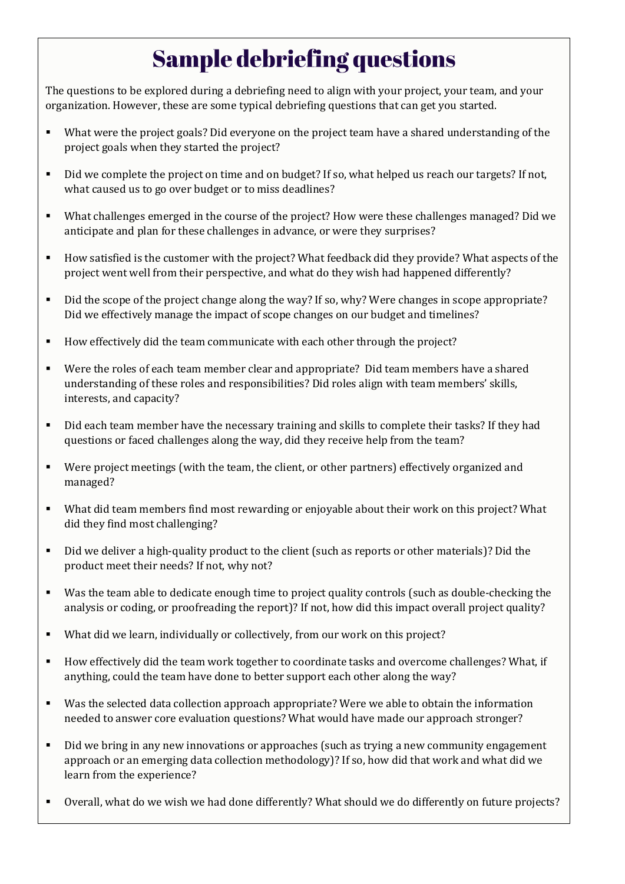## **Sample debriefing questions**

The questions to be explored during a debriefing need to align with your project, your team, and your organization. However, these are some typical debriefing questions that can get you started.

- What were the project goals? Did everyone on the project team have a shared understanding of the project goals when they started the project?
- Did we complete the project on time and on budget? If so, what helped us reach our targets? If not, what caused us to go over budget or to miss deadlines?
- What challenges emerged in the course of the project? How were these challenges managed? Did we anticipate and plan for these challenges in advance, or were they surprises?
- How satisfied is the customer with the project? What feedback did they provide? What aspects of the project went well from their perspective, and what do they wish had happened differently?
- Did the scope of the project change along the way? If so, why? Were changes in scope appropriate? Did we effectively manage the impact of scope changes on our budget and timelines?
- How effectively did the team communicate with each other through the project?
- Were the roles of each team member clear and appropriate? Did team members have a shared understanding of these roles and responsibilities? Did roles align with team members' skills, interests, and capacity?
- Did each team member have the necessary training and skills to complete their tasks? If they had questions or faced challenges along the way, did they receive help from the team?
- Were project meetings (with the team, the client, or other partners) effectively organized and managed?
- What did team members find most rewarding or enjoyable about their work on this project? What did they find most challenging?
- Did we deliver a high-quality product to the client (such as reports or other materials)? Did the product meet their needs? If not, why not?
- Was the team able to dedicate enough time to project quality controls (such as double-checking the analysis or coding, or proofreading the report)? If not, how did this impact overall project quality?
- What did we learn, individually or collectively, from our work on this project?
- How effectively did the team work together to coordinate tasks and overcome challenges? What, if anything, could the team have done to better support each other along the way?
- Was the selected data collection approach appropriate? Were we able to obtain the information needed to answer core evaluation questions? What would have made our approach stronger?
- **•** Did we bring in any new innovations or approaches (such as trying a new community engagement approach or an emerging data collection methodology)? If so, how did that work and what did we learn from the experience?
- Overall, what do we wish we had done differently? What should we do differently on future projects?